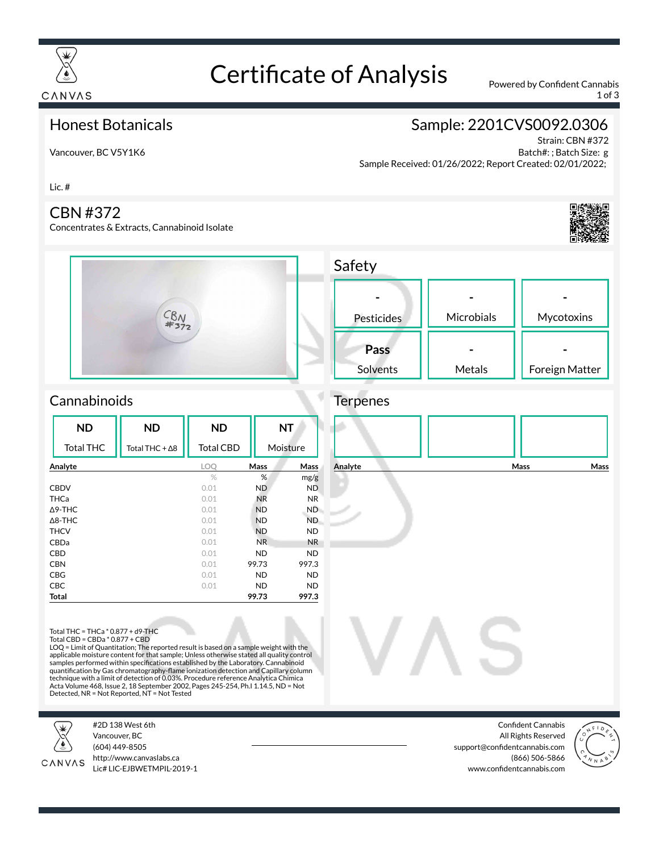

# Certificate of Analysis Powered by Confident Cannabis

1 of 3

#### Honest Botanicals

Vancouver, BC V5Y1K6

## Sample: 2201CVS0092.0306

Strain: CBN #372 Batch#: ; Batch Size: g Sample Received: 01/26/2022; Report Created: 02/01/2022;

Lic. #

#### CBN #372

Concentrates & Extracts, Cannabinoid Isolate







### **Cannabinoids**

| <b>ND</b>         | <b>ND</b>              | <b>ND</b>        | <b>NT</b><br>Moisture |                |
|-------------------|------------------------|------------------|-----------------------|----------------|
| <b>Total THC</b>  | Total THC + $\Delta$ 8 | <b>Total CBD</b> |                       |                |
| Analyte           |                        | LOO              | <b>Mass</b>           | Mass           |
|                   |                        | $\%$             | %                     | mg/g           |
| <b>CBDV</b>       |                        | 0.01             | <b>ND</b>             | <b>ND</b>      |
| THCa              |                        | 0.01             | <b>NR</b>             | N <sub>R</sub> |
| $\triangle$ 9-THC |                        | 0.01             | <b>ND</b>             | ND.            |
| $\triangle$ 8-THC |                        | 0.01             | <b>ND</b>             | ND.            |
| <b>THCV</b>       |                        | 0.01             | <b>ND</b>             | <b>ND</b>      |
| <b>CBDa</b>       |                        | 0.01             | N <sub>R</sub>        | <b>NR</b>      |
| CBD               |                        | 0.01             | <b>ND</b>             | <b>ND</b>      |
| <b>CBN</b>        |                        | 0.01             | 99.73                 | 997.3          |
| <b>CBG</b>        |                        | 0.01             | <b>ND</b>             | <b>ND</b>      |
| <b>CBC</b>        |                        | 0.01             | <b>ND</b>             | <b>ND</b>      |
| Total             |                        |                  | 99.73                 | 997.3          |



Total THC = THCa \* 0.877 + d9-THC Total CBD = CBDa \* 0.877 + CBD

LOQ = Limit of Quantitation; The reported result is based on a sample weight with the applicable moisture content for that sample; Unless otherwise stated all quality control<br>samples performed within specifications established by the Laboratory. Cannabinoid<br>quantification by Gas chromatography-flame ionizat technique with a limit of detection of 0.03%. Procedure reference Analytica Chimica Acta Volume 468, Issue 2, 18 September 2002, Pages 245-254, Ph.I 1.14.5, ND = Not Detected, NR = Not Reported, NT = Not Tested



#2D 138 West 6th Vancouver, BC



(604) 449-8505 http://www.canvaslabs.ca Lic# LIC-EJBWETMPIL-2019-1

Confident Cannabis All Rights Reserved support@confidentcannabis.com (866) 506-5866 www.confidentcannabis.com

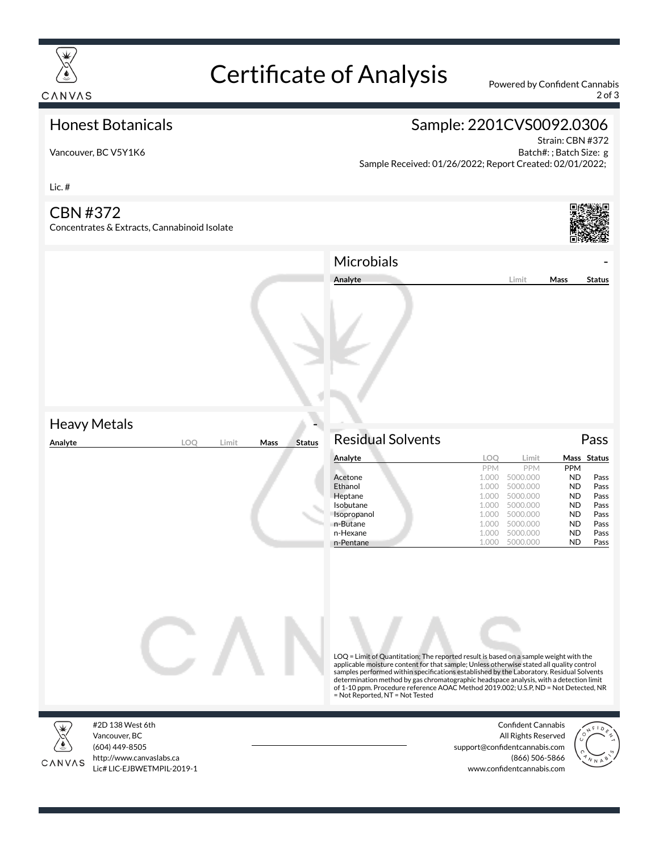

# Certificate of Analysis Powered by Confident Cannabis

2 of 3

Strain: CBN #372 Batch#: ; Batch Size: g

### Honest Botanicals

## Sample: 2201CVS0092.0306

Sample Received: 01/26/2022; Report Created: 02/01/2022;

Vancouver, BC V5Y1K6

Lic. #

#### CBN #372

Concentrates & Extracts, Cannabinoid Isolate



|                                                |                       | Microbials<br>Analyte                                                                                                                                                                                                                                                                                                                                                                                                                                                                             | Limit                                                                                                                                                                              | Mass                                                                                                 | <b>Status</b>                                                |
|------------------------------------------------|-----------------------|---------------------------------------------------------------------------------------------------------------------------------------------------------------------------------------------------------------------------------------------------------------------------------------------------------------------------------------------------------------------------------------------------------------------------------------------------------------------------------------------------|------------------------------------------------------------------------------------------------------------------------------------------------------------------------------------|------------------------------------------------------------------------------------------------------|--------------------------------------------------------------|
| <b>Heavy Metals</b><br>Analyte<br>LOQ<br>Limit | <b>Status</b><br>Mass | <b>Residual Solvents</b>                                                                                                                                                                                                                                                                                                                                                                                                                                                                          |                                                                                                                                                                                    |                                                                                                      | Pass                                                         |
|                                                |                       | Analyte                                                                                                                                                                                                                                                                                                                                                                                                                                                                                           | LOQ<br>Limit                                                                                                                                                                       |                                                                                                      | Mass Status                                                  |
|                                                |                       | Acetone<br>Ethanol<br>Heptane<br>Isobutane<br>Isopropanol<br>n-Butane<br>n-Hexane<br>n-Pentane                                                                                                                                                                                                                                                                                                                                                                                                    | PPM<br>PPM<br>1.000<br>5000.000<br>1.000<br>5000.000<br>5000.000<br>1.000<br>1.000<br>5000.000<br>5000.000<br>1.000<br>1.000<br>5000.000<br>1.000<br>5000.000<br>1.000<br>5000.000 | PPM<br><b>ND</b><br><b>ND</b><br>ND<br><b>ND</b><br><b>ND</b><br><b>ND</b><br><b>ND</b><br><b>ND</b> | Pass<br>Pass<br>Pass<br>Pass<br>Pass<br>Pass<br>Pass<br>Pass |
|                                                |                       | LOQ = Limit of Quantitation; The reported result is based on a sample weight with the<br>applicable moisture content for that sample; Unless otherwise stated all quality control<br>samples performed within specifications established by the Laboratory. Residual Solvents<br>determination method by gas chromatographic headspace analysis, with a detection limit<br>of 1-10 ppm. Procedure reference AOAC Method 2019.002; U.S.P, ND = Not Detected, NR<br>= Not Reported, NT = Not Tested |                                                                                                                                                                                    |                                                                                                      |                                                              |



CANVAS

Vancouver, BC (604) 449-8505 http://www.canvaslabs.ca Lic# LIC-EJBWETMPIL-2019-1

Confident Cannabis All Rights Reserved support@confidentcannabis.com (866) 506-5866 www.confidentcannabis.com